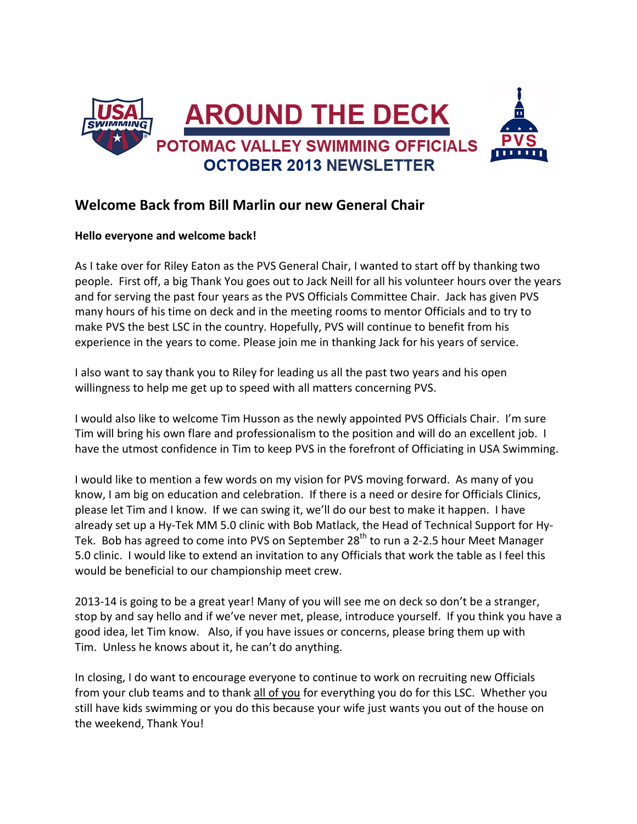

#### **Welcome Back from Bill Marlin our new General Chair**

#### **Hello everyone and welcome back!**

As I take over for Riley Eaton as the PVS General Chair, I wanted to start off by thanking two people. First off, a big Thank You goes out to Jack Neill for all his volunteer hours over the years and for serving the past four years as the PVS Officials Committee Chair. Jack has given PVS many hours of his time on deck and in the meeting rooms to mentor Officials and to try to make PVS the best LSC in the country. Hopefully, PVS will continue to benefit from his experience in the years to come. Please join me in thanking Jack for his years of service.

I also want to say thank you to Riley for leading us all the past two years and his open willingness to help me get up to speed with all matters concerning PVS.

I would also like to welcome Tim Husson as the newly appointed PVS Officials Chair. I'm sure Tim will bring his own flare and professionalism to the position and will do an excellent job. I have the utmost confidence in Tim to keep PVS in the forefront of Officiating in USA Swimming.

I would like to mention a few words on my vision for PVS moving forward. As many of you know, I am big on education and celebration. If there is a need or desire for Officials Clinics, please let Tim and I know. If we can swing it, we'll do our best to make it happen. I have already set up a Hy-Tek MM 5.0 clinic with Bob Matlack, the Head of Technical Support for Hy-Tek. Bob has agreed to come into PVS on September  $28<sup>th</sup>$  to run a 2-2.5 hour Meet Manager 5.0 clinic. I would like to extend an invitation to any Officials that work the table as I feel this would be beneficial to our championship meet crew.

2013-14 is going to be a great year! Many of you will see me on deck so don't be a stranger, stop by and say hello and if we've never met, please, introduce yourself. If you think you have a good idea, let Tim know. Also, if you have issues or concerns, please bring them up with Tim. Unless he knows about it, he can't do anything.

In closing, I do want to encourage everyone to continue to work on recruiting new Officials from your club teams and to thank all of you for everything you do for this LSC. Whether you still have kids swimming or you do this because your wife just wants you out of the house on the weekend, Thank You!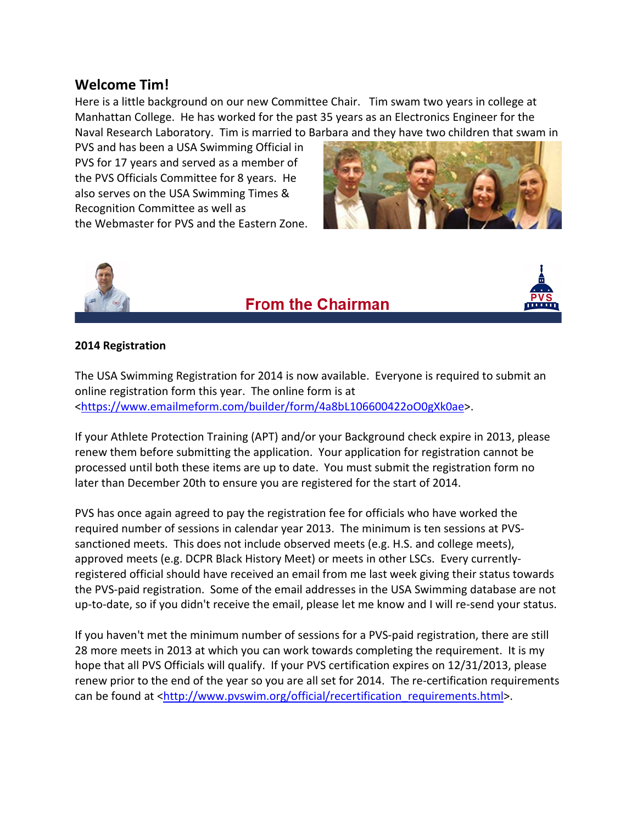#### **Welcome Tim!**

Here is a little background on our new Committee Chair. Tim swam two years in college at Manhattan College. He has worked for the past 35 years as an Electronics Engineer for the Naval Research Laboratory. Tim is married to Barbara and they have two children that swam in

PVS and has been a USA Swimming Official in PVS for 17 years and served as a member of the PVS Officials Committee for 8 years. He also serves on the USA Swimming Times & Recognition Committee as well as the Webmaster for PVS and the Eastern Zone.





# **From the Chairman**



#### **2014 Registration**

The USA Swimming Registration for 2014 is now available. Everyone is required to submit an online registration form this year. The online form is at [<https://www.emailmeform.com/builder/form/4a8bL106600422oO0gXk0ae>](https://www.emailmeform.com/builder/form/4a8bL106600422oO0gXk0ae).

If your Athlete Protection Training (APT) and/or your Background check expire in 2013, please renew them before submitting the application. Your application for registration cannot be processed until both these items are up to date. You must submit the registration form no later than December 20th to ensure you are registered for the start of 2014.

PVS has once again agreed to pay the registration fee for officials who have worked the required number of sessions in calendar year 2013. The minimum is ten sessions at PVSsanctioned meets. This does not include observed meets (e.g. H.S. and college meets), approved meets (e.g. DCPR Black History Meet) or meets in other LSCs. Every currentlyregistered official should have received an email from me last week giving their status towards the PVS-paid registration. Some of the email addresses in the USA Swimming database are not up-to-date, so if you didn't receive the email, please let me know and I will re-send your status.

If you haven't met the minimum number of sessions for a PVS-paid registration, there are still 28 more meets in 2013 at which you can work towards completing the requirement. It is my hope that all PVS Officials will qualify. If your PVS certification expires on 12/31/2013, please renew prior to the end of the year so you are all set for 2014. The re-certification requirements can be found at [<http://www.pvswim.org/official/recertification\\_requirements.html>](http://www.pvswim.org/official/recertification_requirements.html).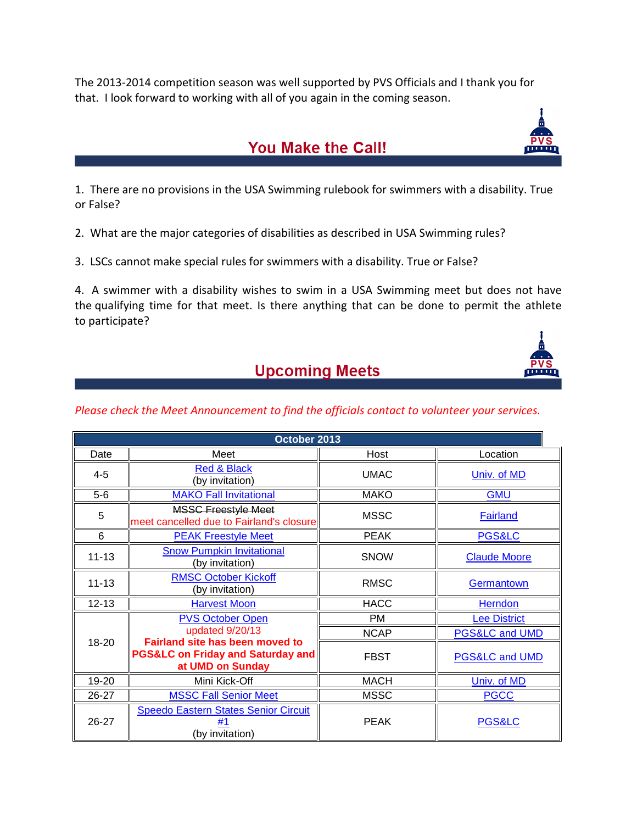The 2013-2014 competition season was well supported by PVS Officials and I thank you for that. I look forward to working with all of you again in the coming season.

## **You Make the Call!**

1. There are no provisions in the USA Swimming rulebook for swimmers with a disability. True or False?

2. What are the major categories of disabilities as described in USA Swimming rules?

3. LSCs cannot make special rules for swimmers with a disability. True or False?

4. A swimmer with a disability wishes to swim in a USA Swimming meet but does not have the qualifying time for that meet. Is there anything that can be done to permit the athlete to participate?

#### **Upcoming Meets**

#### *Please check the Meet Announcement to find the officials contact to volunteer your services.*

| October 2013 |                                                                                                            |             |                           |  |  |
|--------------|------------------------------------------------------------------------------------------------------------|-------------|---------------------------|--|--|
| Date         | Meet                                                                                                       | Host        | Location                  |  |  |
| $4 - 5$      | <b>Red &amp; Black</b><br>(by invitation)                                                                  | <b>UMAC</b> | Univ. of MD               |  |  |
| $5-6$        | <b>MAKO Fall Invitational</b>                                                                              | <b>MAKO</b> | <b>GMU</b>                |  |  |
| 5            | <b>MSSC Freestyle Meet</b><br>meet cancelled due to Fairland's closure                                     | <b>MSSC</b> | <b>Fairland</b>           |  |  |
| 6            | <b>PEAK Freestyle Meet</b>                                                                                 | <b>PEAK</b> | <b>PGS&amp;LC</b>         |  |  |
| $11 - 13$    | <b>Snow Pumpkin Invitational</b><br>(by invitation)                                                        | <b>SNOW</b> | <b>Claude Moore</b>       |  |  |
| $11 - 13$    | <b>RMSC October Kickoff</b><br>(by invitation)                                                             | <b>RMSC</b> | <b>Germantown</b>         |  |  |
| $12 - 13$    | <b>Harvest Moon</b>                                                                                        | <b>HACC</b> | <b>Herndon</b>            |  |  |
| 18-20        | <b>PVS October Open</b><br>updated 9/20/13                                                                 | <b>PM</b>   | <b>Lee District</b>       |  |  |
|              |                                                                                                            | <b>NCAP</b> | <b>PGS&amp;LC and UMD</b> |  |  |
|              | <b>Fairland site has been moved to</b><br><b>PGS&amp;LC on Friday and Saturday and</b><br>at UMD on Sunday | <b>FBST</b> | PGS&LC and UMD            |  |  |
| 19-20        | Mini Kick-Off                                                                                              | <b>MACH</b> | Univ. of MD               |  |  |
| 26-27        | <b>MSSC Fall Senior Meet</b>                                                                               | <b>MSSC</b> | <b>PGCC</b>               |  |  |
| 26-27        | Speedo Eastern States Senior Circuit<br>#1<br>(by invitation)                                              | <b>PEAK</b> | <b>PGS&amp;LC</b>         |  |  |



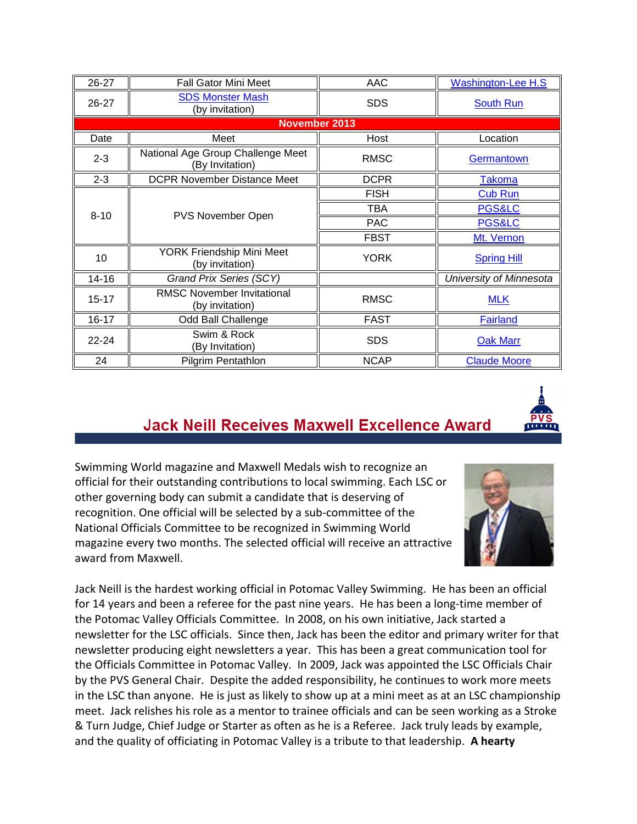| 26-27                | <b>Fall Gator Mini Meet</b>                          | AAC         | <b>Washington-Lee H.S</b> |  |  |
|----------------------|------------------------------------------------------|-------------|---------------------------|--|--|
| 26-27                | <b>SDS Monster Mash</b><br>(by invitation)           | <b>SDS</b>  | <b>South Run</b>          |  |  |
| <b>November 2013</b> |                                                      |             |                           |  |  |
| Date                 | Meet                                                 | Host        | Location                  |  |  |
| $2 - 3$              | National Age Group Challenge Meet<br>(By Invitation) | <b>RMSC</b> | Germantown                |  |  |
| $2 - 3$              | <b>DCPR November Distance Meet</b>                   | <b>DCPR</b> | <b>Takoma</b>             |  |  |
|                      | PVS November Open                                    | <b>FISH</b> | <b>Cub Run</b>            |  |  |
|                      |                                                      | <b>TBA</b>  | <b>PGS&amp;LC</b>         |  |  |
| $8 - 10$             |                                                      | <b>PAC</b>  | <b>PGS&amp;LC</b>         |  |  |
|                      |                                                      | <b>FBST</b> | Mt. Vernon                |  |  |
| 10                   | YORK Friendship Mini Meet<br>(by invitation)         | <b>YORK</b> | <b>Spring Hill</b>        |  |  |
| $14 - 16$            | Grand Prix Series (SCY)                              |             | University of Minnesota   |  |  |
| $15 - 17$            | <b>RMSC November Invitational</b><br>(by invitation) | <b>RMSC</b> | <b>MLK</b>                |  |  |
| $16 - 17$            | Odd Ball Challenge                                   | <b>FAST</b> | <b>Fairland</b>           |  |  |
| $22 - 24$            | Swim & Rock<br>(By Invitation)                       | <b>SDS</b>  | <b>Oak Marr</b>           |  |  |
| 24                   | <b>Pilgrim Pentathlon</b>                            | <b>NCAP</b> | <b>Claude Moore</b>       |  |  |

## **Jack Neill Receives Maxwell Excellence Award**



Swimming World magazine and Maxwell Medals wish to recognize an official for their outstanding contributions to local swimming. Each LSC or other governing body can submit a candidate that is deserving of recognition. One official will be selected by a sub-committee of the National Officials Committee to be recognized in Swimming World magazine every two months. The selected official will receive an attractive award from Maxwell.



Jack Neill is the hardest working official in Potomac Valley Swimming. He has been an official for 14 years and been a referee for the past nine years. He has been a long-time member of the Potomac Valley Officials Committee. In 2008, on his own initiative, Jack started a newsletter for the LSC officials. Since then, Jack has been the editor and primary writer for that newsletter producing eight newsletters a year. This has been a great communication tool for the Officials Committee in Potomac Valley. In 2009, Jack was appointed the LSC Officials Chair by the PVS General Chair. Despite the added responsibility, he continues to work more meets in the LSC than anyone. He is just as likely to show up at a mini meet as at an LSC championship meet. Jack relishes his role as a mentor to trainee officials and can be seen working as a Stroke & Turn Judge, Chief Judge or Starter as often as he is a Referee. Jack truly leads by example, and the quality of officiating in Potomac Valley is a tribute to that leadership. **A hearty**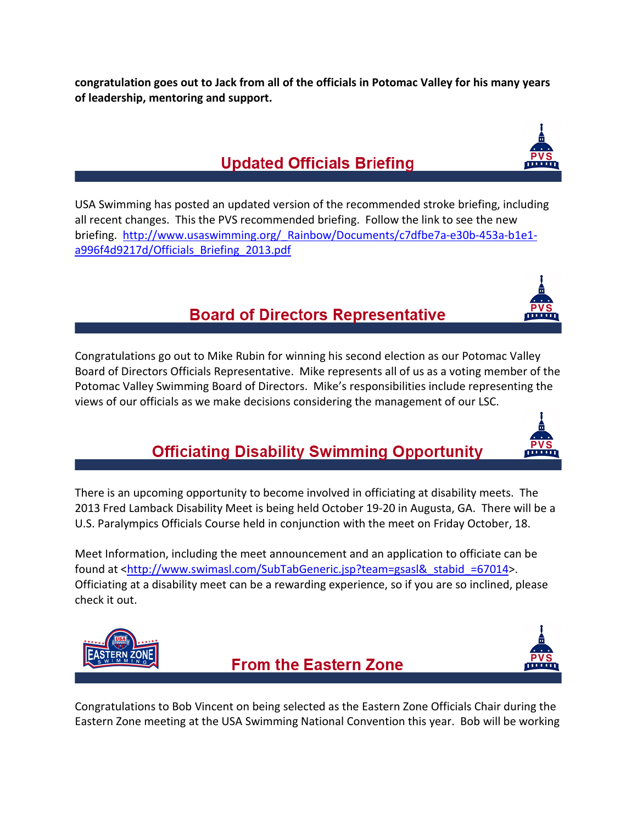**congratulation goes out to Jack from all of the officials in Potomac Valley for his many years of leadership, mentoring and support.**

# **Updated Officials Briefing**

USA Swimming has posted an updated version of the recommended stroke briefing, including all recent changes. This the PVS recommended briefing. Follow the link to see the new briefing. [http://www.usaswimming.org/\\_Rainbow/Documents/c7dfbe7a-e30b-453a-b1e1](http://www.usaswimming.org/_Rainbow/Documents/c7dfbe7a-e30b-453a-b1e1-a996f4d9217d/Officials_Briefing_2013.pdf) [a996f4d9217d/Officials\\_Briefing\\_2013.pdf](http://www.usaswimming.org/_Rainbow/Documents/c7dfbe7a-e30b-453a-b1e1-a996f4d9217d/Officials_Briefing_2013.pdf)

### **Board of Directors Representative**

Congratulations go out to Mike Rubin for winning his second election as our Potomac Valley Board of Directors Officials Representative. Mike represents all of us as a voting member of the Potomac Valley Swimming Board of Directors. Mike's responsibilities include representing the views of our officials as we make decisions considering the management of our LSC.

## **Officiating Disability Swimming Opportunity**

There is an upcoming opportunity to become involved in officiating at disability meets. The 2013 Fred Lamback Disability Meet is being held October 19-20 in Augusta, GA. There will be a U.S. Paralympics Officials Course held in conjunction with the meet on Friday October, 18.

Meet Information, including the meet announcement and an application to officiate can be found at [<http://www.swimasl.com/SubTabGeneric.jsp?team=gsasl&\\_stabid\\_=67014>](http://www.swimasl.com/SubTabGeneric.jsp?team=gsasl&_stabid_=67014). Officiating at a disability meet can be a rewarding experience, so if you are so inclined, please check it out.

Congratulations to Bob Vincent on being selected as the Eastern Zone Officials Chair during the Eastern Zone meeting at the USA Swimming National Convention this year. Bob will be working









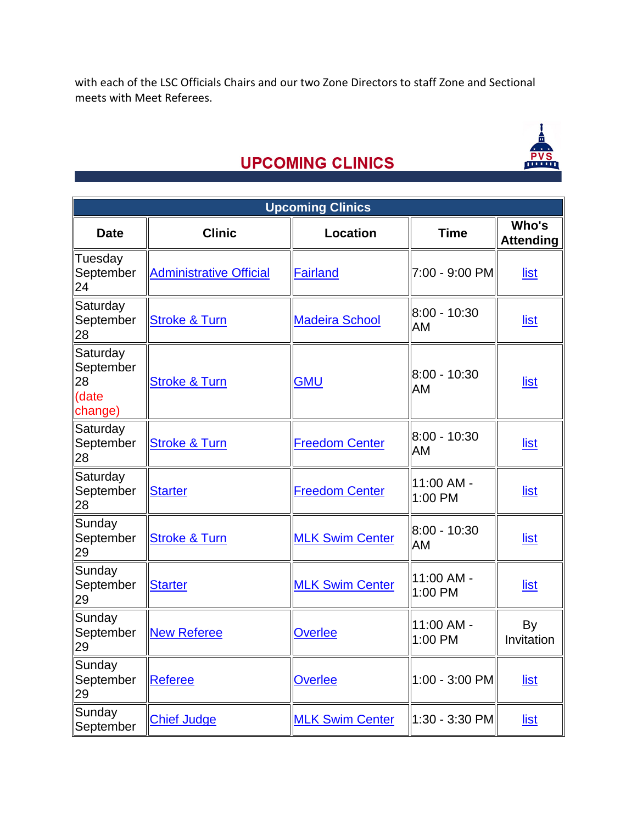with each of the LSC Officials Chairs and our two Zone Directors to staff Zone and Sectional meets with Meet Referees.



# **UPCOMING CLINICS**

| <b>Upcoming Clinics</b>                         |                                |                        |                         |                           |  |  |
|-------------------------------------------------|--------------------------------|------------------------|-------------------------|---------------------------|--|--|
| <b>Date</b>                                     | <b>Clinic</b>                  | <b>Location</b>        | <b>Time</b>             | Who's<br><b>Attending</b> |  |  |
| Tuesday<br>September<br>24                      | <b>Administrative Official</b> | <b>Fairland</b>        | 7:00 - 9:00 PM          | list                      |  |  |
| Saturday<br>September<br>28                     | <b>Stroke &amp; Turn</b>       | <b>Madeira School</b>  | $8:00 - 10:30$<br>AM    | <u>list</u>               |  |  |
| Saturday<br>September<br>28<br>(date<br>change) | <b>Stroke &amp; Turn</b>       | <b>GMU</b>             | $8:00 - 10:30$<br>AM    | list                      |  |  |
| Saturday<br>September<br>28                     | <b>Stroke &amp; Turn</b>       | Freedom Center         | $8:00 - 10:30$<br>AM    | <u>list</u>               |  |  |
| Saturday<br>September<br>28                     | <b>Starter</b>                 | <b>Freedom Center</b>  | 11:00 AM -<br>1:00 PM   | list                      |  |  |
| Sunday<br>September<br>29                       | <b>Stroke &amp; Turn</b>       | <b>MLK Swim Center</b> | $8:00 - 10:30$<br>AM    | <u>list</u>               |  |  |
| Sunday<br>September<br>29                       | <b>Starter</b>                 | <b>MLK Swim Center</b> | $11:00$ AM -<br>1:00 PM | list                      |  |  |
| Sunday<br>September<br>29                       | <b>New Referee</b>             | <b>Overlee</b>         | 11:00 AM -<br>1:00 PM   | By<br>Invitation          |  |  |
| Sunday<br>September<br>29                       | Referee                        | <b>Overlee</b>         | 1:00 - 3:00 PM          | list                      |  |  |
| Sunday<br>September                             | <b>Chief Judge</b>             | <b>MLK Swim Center</b> | 1:30 - 3:30 PM          | list                      |  |  |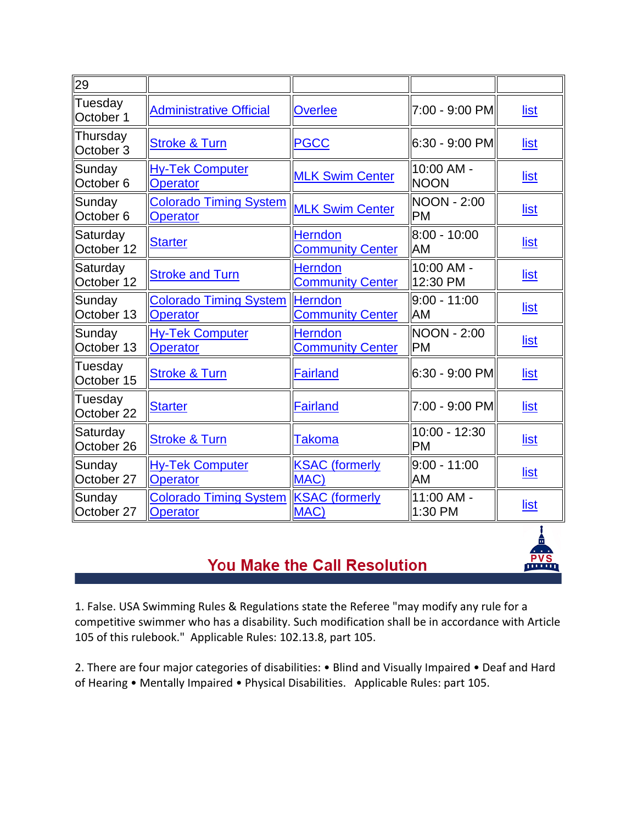| 29                             |                                                  |                                           |                                   |             |
|--------------------------------|--------------------------------------------------|-------------------------------------------|-----------------------------------|-------------|
| Tuesday<br>October 1           | <b>Administrative Official</b>                   | <b>Overlee</b>                            | 7:00 - 9:00 PM                    | list        |
| Thursday<br>October 3          | <b>Stroke &amp; Turn</b>                         | <b>PGCC</b>                               | 6:30 - 9:00 PM                    | <u>list</u> |
| Sunday<br>October <sub>6</sub> | <b>Hy-Tek Computer</b><br><b>Operator</b>        | <b>MLK Swim Center</b>                    | 10:00 AM -<br><b>NOON</b>         | <u>list</u> |
| Sunday<br>October <sub>6</sub> | <b>Colorado Timing System</b><br><b>Operator</b> | <b>MLK Swim Center</b>                    | NOON - 2:00<br><b>PM</b>          | <u>list</u> |
| Saturday<br>October 12         | <b>Starter</b>                                   | <b>Herndon</b><br><b>Community Center</b> | 8:00 - 10:00<br><b>IAM</b>        | <u>list</u> |
| Saturday<br>October 12         | <b>Stroke and Turn</b>                           | <b>Herndon</b><br><b>Community Center</b> | ll10:00 AM -<br>12:30 PM          | list        |
| Sunday<br>October 13           | <b>Colorado Timing System</b><br><b>Operator</b> | Herndon<br><b>Community Center</b>        | $9:00 - 11:00$<br><b>IAM</b>      | <u>list</u> |
| Sunday<br>October 13           | <b>Hy-Tek Computer</b><br><b>Operator</b>        | <b>Herndon</b><br><b>Community Center</b> | <b>INOON - 2:00</b><br><b>IPM</b> | <u>list</u> |
| Tuesday<br>October 15          | <b>Stroke &amp; Turn</b>                         | <b>Fairland</b>                           | 6:30 - 9:00 PM                    | <u>list</u> |
| Tuesday<br>October 22          | <b>Starter</b>                                   | <b>Fairland</b>                           | 7:00 - 9:00 PM                    | <u>list</u> |
| Saturday<br>October 26         | <b>Stroke &amp; Turn</b>                         | Takoma                                    | 10:00 - 12:30<br><b>PM</b>        | <u>list</u> |
| Sunday<br>October 27           | <b>Hy-Tek Computer</b><br><b>Operator</b>        | <b>KSAC</b> (formerly<br>MAC)             | ll9:00 - 11:00<br><b>AM</b>       | list        |
| Sunday<br>October 27           | <b>Colorado Timing System</b><br><b>Operator</b> | <b>KSAC</b> (formerly<br>MAC)             | 11:00 AM -<br>1:30 PM             | <u>list</u> |

#### You Make the Call Resolution

mm

1. False. USA Swimming Rules & Regulations state the Referee "may modify any rule for a competitive swimmer who has a disability. Such modification shall be in accordance with Article 105 of this rulebook." Applicable Rules: 102.13.8, part 105.

2. There are four major categories of disabilities: • Blind and Visually Impaired • Deaf and Hard of Hearing • Mentally Impaired • Physical Disabilities. Applicable Rules: part 105.